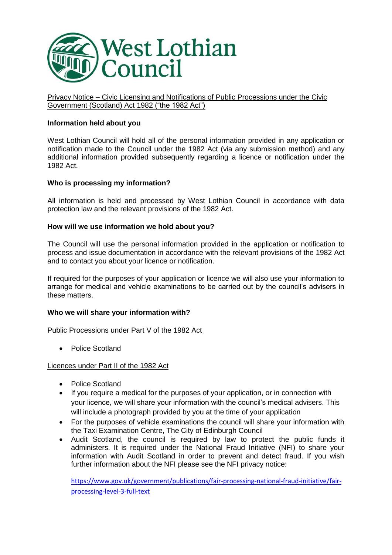

Privacy Notice – Civic Licensing and Notifications of Public Processions under the Civic Government (Scotland) Act 1982 ("the 1982 Act")

# **Information held about you**

West Lothian Council will hold all of the personal information provided in any application or notification made to the Council under the 1982 Act (via any submission method) and any additional information provided subsequently regarding a licence or notification under the 1982 Act.

### **Who is processing my information?**

All information is held and processed by West Lothian Council in accordance with data protection law and the relevant provisions of the 1982 Act.

## **How will we use information we hold about you?**

The Council will use the personal information provided in the application or notification to process and issue documentation in accordance with the relevant provisions of the 1982 Act and to contact you about your licence or notification.

If required for the purposes of your application or licence we will also use your information to arrange for medical and vehicle examinations to be carried out by the council's advisers in these matters.

### **Who we will share your information with?**

Public Processions under Part V of the 1982 Act

• Police Scotland

### Licences under Part II of the 1982 Act

- Police Scotland
- If you require a medical for the purposes of your application, or in connection with your licence, we will share your information with the council's medical advisers. This will include a photograph provided by you at the time of your application
- For the purposes of vehicle examinations the council will share your information with the Taxi Examination Centre, The City of Edinburgh Council
- Audit Scotland, the council is required by law to protect the public funds it administers. It is required under the National Fraud Initiative (NFI) to share your information with Audit Scotland in order to prevent and detect fraud. If you wish further information about the NFI please see the NFI privacy notice:

[https://www.gov.uk/government/publications/fair-processing-national-fraud-initiative/fair](https://www.gov.uk/government/publications/fair-processing-national-fraud-initiative/fair-processing-level-3-full-text)[processing-level-3-full-text](https://www.gov.uk/government/publications/fair-processing-national-fraud-initiative/fair-processing-level-3-full-text)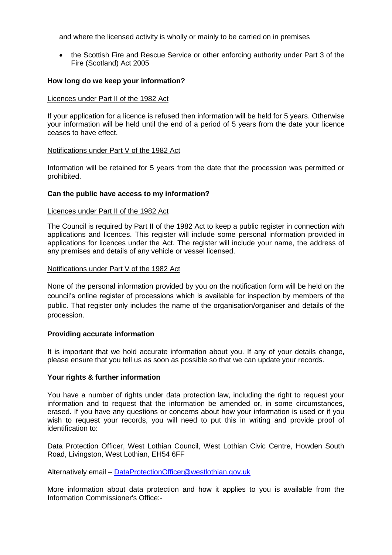and where the licensed activity is wholly or mainly to be carried on in premises

• the Scottish Fire and Rescue Service or other enforcing authority under Part 3 of the Fire (Scotland) Act 2005

## **How long do we keep your information?**

### Licences under Part II of the 1982 Act

If your application for a licence is refused then information will be held for 5 years. Otherwise your information will be held until the end of a period of 5 years from the date your licence ceases to have effect.

### Notifications under Part V of the 1982 Act

Information will be retained for 5 years from the date that the procession was permitted or prohibited.

### **Can the public have access to my information?**

#### Licences under Part II of the 1982 Act

The Council is required by Part II of the 1982 Act to keep a public register in connection with applications and licences. This register will include some personal information provided in applications for licences under the Act. The register will include your name, the address of any premises and details of any vehicle or vessel licensed.

#### Notifications under Part V of the 1982 Act

None of the personal information provided by you on the notification form will be held on the council's online register of processions which is available for inspection by members of the public. That register only includes the name of the organisation/organiser and details of the procession.

### **Providing accurate information**

It is important that we hold accurate information about you. If any of your details change, please ensure that you tell us as soon as possible so that we can update your records.

### **Your rights & further information**

You have a number of rights under data protection law, including the right to request your information and to request that the information be amended or, in some circumstances, erased. If you have any questions or concerns about how your information is used or if you wish to request your records, you will need to put this in writing and provide proof of identification to:

Data Protection Officer, West Lothian Council, West Lothian Civic Centre, Howden South Road, Livingston, West Lothian, EH54 6FF

Alternatively email – [DataProtectionOfficer@westlothian.gov.uk](mailto:DataProtectionOfficer@westlothian.gov.uk)

More information about data protection and how it applies to you is available from the Information Commissioner's Office:-